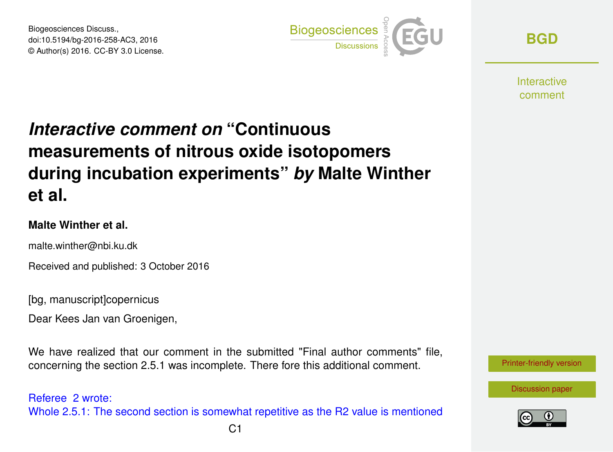Biogeosciences Discuss., doi:10.5194/bg-2016-258-AC3, 2016 © Author(s) 2016. CC-BY 3.0 License.



**[BGD](http://www.biogeosciences-discuss.net/)**

**Interactive** comment

## *Interactive comment on* **"Continuous measurements of nitrous oxide isotopomers during incubation experiments"** *by* **Malte Winther et al.**

## **Malte Winther et al.**

malte.winther@nbi.ku.dk

Received and published: 3 October 2016

[bg, manuscript]copernicus

Dear Kees Jan van Groenigen,

We have realized that our comment in the submitted "Final author comments" file. concerning the section 2.5.1 was incomplete. There fore this additional comment.

Referee 2 wrote: Whole 2.5.1: The second section is somewhat repetitive as the R2 value is mentioned



[Discussion paper](http://www.biogeosciences-discuss.net/bg-2016-258)